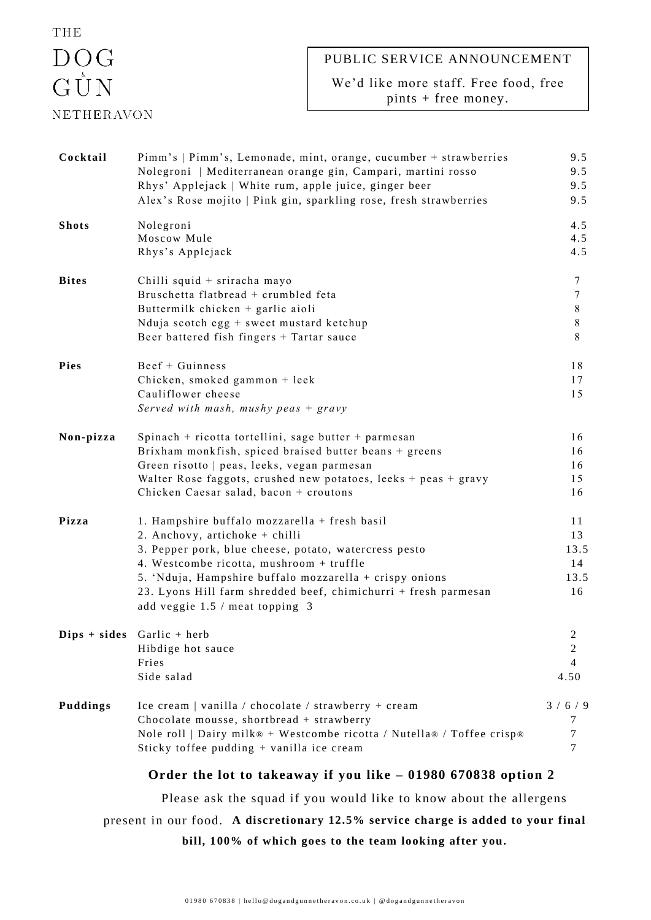## THE  $\begin{array}{c}\n\text{DOG} \\
\text{G UN}\n\end{array}$ **NETHERAVON**

## PUBLIC SERVICE ANNOUNCEMENT

We'd like more staff. Free food, free pints + free money.

| Cocktail                                                           | Pimm's   Pimm's, Lemonade, mint, orange, cucumber + strawberries<br>Nolegroni   Mediterranean orange gin, Campari, martini rosso<br>Rhys' Applejack   White rum, apple juice, ginger beer<br>Alex's Rose mojito   Pink gin, sparkling rose, fresh strawberries                                                                                        | 9.5<br>9.5<br>9.5<br>9.5                      |  |
|--------------------------------------------------------------------|-------------------------------------------------------------------------------------------------------------------------------------------------------------------------------------------------------------------------------------------------------------------------------------------------------------------------------------------------------|-----------------------------------------------|--|
| <b>Shots</b>                                                       | Nolegroni<br>Moscow Mule<br>Rhys's Applejack                                                                                                                                                                                                                                                                                                          | 4.5<br>4.5<br>4.5                             |  |
| <b>Bites</b>                                                       | Chilli squid + sriracha mayo<br>Bruschetta flatbread + crumbled feta<br>Buttermilk chicken + garlic aioli<br>Nduja scotch egg + sweet mustard ketchup<br>Beer battered fish fingers + Tartar sauce                                                                                                                                                    | 7<br>7<br>8<br>8<br>8                         |  |
| <b>Pies</b>                                                        | Beef + Guinness<br>Chicken, smoked gammon + leek<br>Cauliflower cheese<br>Served with mash, mushy peas $+$ gravy                                                                                                                                                                                                                                      | 18<br>17<br>15                                |  |
| Non-pizza                                                          | Spinach + ricotta tortellini, sage butter + parmesan<br>Brixham monkfish, spiced braised butter beans + greens<br>Green risotto   peas, leeks, vegan parmesan<br>Walter Rose faggots, crushed new potatoes, leeks $+$ peas $+$ gravy<br>Chicken Caesar salad, bacon + croutons                                                                        | 16<br>16<br>16<br>15<br>16                    |  |
| Pizza                                                              | 1. Hampshire buffalo mozzarella + fresh basil<br>2. Anchovy, artichoke + chilli<br>3. Pepper pork, blue cheese, potato, watercress pesto<br>4. Westcombe ricotta, mushroom + truffle<br>5. 'Nduja, Hampshire buffalo mozzarella + crispy onions<br>23. Lyons Hill farm shredded beef, chimichurri + fresh parmesan<br>add veggie 1.5 / meat topping 3 | 11<br>13<br>13.5<br>14<br>13.5<br>16          |  |
|                                                                    | $Dips + sides$ Garlic + herb<br>Hibdige hot sauce<br>Fries<br>Side salad                                                                                                                                                                                                                                                                              | 2<br>$\overline{2}$<br>$\overline{4}$<br>4.50 |  |
| Puddings                                                           | Ice cream   vanilla / chocolate / strawberry + cream<br>Chocolate mousse, shortbread + strawberry<br>Nole roll   Dairy milk® + Westcombe ricotta / Nutella® / Toffee crisp®<br>Sticky toffee pudding + vanilla ice cream                                                                                                                              | 3/6/9<br>7<br>7<br>7                          |  |
|                                                                    | Order the lot to takeaway if you like - 01980 670838 option 2                                                                                                                                                                                                                                                                                         |                                               |  |
| Please ask the squad if you would like to know about the allergens |                                                                                                                                                                                                                                                                                                                                                       |                                               |  |

present in our food. **A discretionary 12.5% service charge is added to your final** 

**bill, 100% of which goes to the team looking after you.**